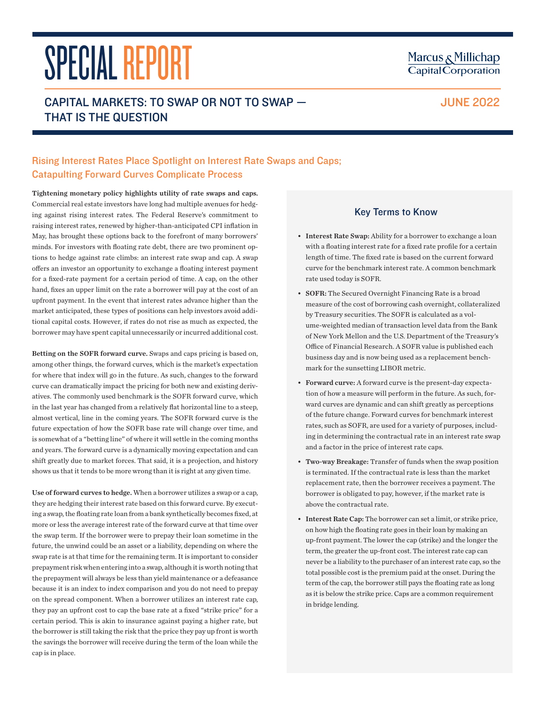# SPECIAL REPORT CAPITAL MARKETS: TO SWAP OR NOT TO SWAP — THAT IS THE QUESTION

## Rising Interest Rates Place Spotlight on Interest Rate Swaps and Caps; Catapulting Forward Curves Complicate Process

Tightening monetary policy highlights utility of rate swaps and caps. Commercial real estate investors have long had multiple avenues for hedging against rising interest rates. The Federal Reserve's commitment to raising interest rates, renewed by higher-than-anticipated CPI inflation in May, has brought these options back to the forefront of many borrowers' minds. For investors with floating rate debt, there are two prominent options to hedge against rate climbs: an interest rate swap and cap. A swap offers an investor an opportunity to exchange a floating interest payment for a fixed-rate payment for a certain period of time. A cap, on the other hand, fixes an upper limit on the rate a borrower will pay at the cost of an upfront payment. In the event that interest rates advance higher than the market anticipated, these types of positions can help investors avoid additional capital costs. However, if rates do not rise as much as expected, the borrower may have spent capital unnecessarily or incurred additional cost.

Betting on the SOFR forward curve. Swaps and caps pricing is based on, among other things, the forward curves, which is the market's expectation for where that index will go in the future. As such, changes to the forward curve can dramatically impact the pricing for both new and existing derivatives. The commonly used benchmark is the SOFR forward curve, which in the last year has changed from a relatively flat horizontal line to a steep, almost vertical, line in the coming years. The SOFR forward curve is the future expectation of how the SOFR base rate will change over time, and is somewhat of a "betting line" of where it will settle in the coming months and years. The forward curve is a dynamically moving expectation and can shift greatly due to market forces. That said, it is a projection, and history shows us that it tends to be more wrong than it is right at any given time.

Use of forward curves to hedge. When a borrower utilizes a swap or a cap, they are hedging their interest rate based on this forward curve. By executing a swap, the floating rate loan from a bank synthetically becomes fixed, at more or less the average interest rate of the forward curve at that time over the swap term. If the borrower were to prepay their loan sometime in the future, the unwind could be an asset or a liability, depending on where the swap rate is at that time for the remaining term. It is important to consider prepayment risk when entering into a swap, although it is worth noting that the prepayment will always be less than yield maintenance or a defeasance because it is an index to index comparison and you do not need to prepay on the spread component. When a borrower utilizes an interest rate cap, they pay an upfront cost to cap the base rate at a fixed "strike price" for a certain period. This is akin to insurance against paying a higher rate, but the borrower is still taking the risk that the price they pay up front is worth the savings the borrower will receive during the term of the loan while the cap is in place.

## Key Terms to Know

- Interest Rate Swap: Ability for a borrower to exchange a loan with a floating interest rate for a fixed rate profile for a certain length of time. The fixed rate is based on the current forward curve for the benchmark interest rate. A common benchmark rate used today is SOFR.
- SOFR: The Secured Overnight Financing Rate is a broad measure of the cost of borrowing cash overnight, collateralized by Treasury securities. The SOFR is calculated as a volume-weighted median of transaction level data from the Bank of New York Mellon and the U.S. Department of the Treasury's Office of Financial Research. A SOFR value is published each business day and is now being used as a replacement benchmark for the sunsetting LIBOR metric.
- Forward curve: A forward curve is the present-day expectation of how a measure will perform in the future. As such, forward curves are dynamic and can shift greatly as perceptions of the future change. Forward curves for benchmark interest rates, such as SOFR, are used for a variety of purposes, including in determining the contractual rate in an interest rate swap and a factor in the price of interest rate caps.
- Two-way Breakage: Transfer of funds when the swap position is terminated. If the contractual rate is less than the market replacement rate, then the borrower receives a payment. The borrower is obligated to pay, however, if the market rate is above the contractual rate.
- Interest Rate Cap: The borrower can set a limit, or strike price, on how high the floating rate goes in their loan by making an up-front payment. The lower the cap (strike) and the longer the term, the greater the up-front cost. The interest rate cap can never be a liability to the purchaser of an interest rate cap, so the total possible cost is the premium paid at the onset. During the term of the cap, the borrower still pays the floating rate as long as it is below the strike price. Caps are a common requirement in bridge lending.

# Marcus & Millichap **Capital Corporation**

JUNE 2022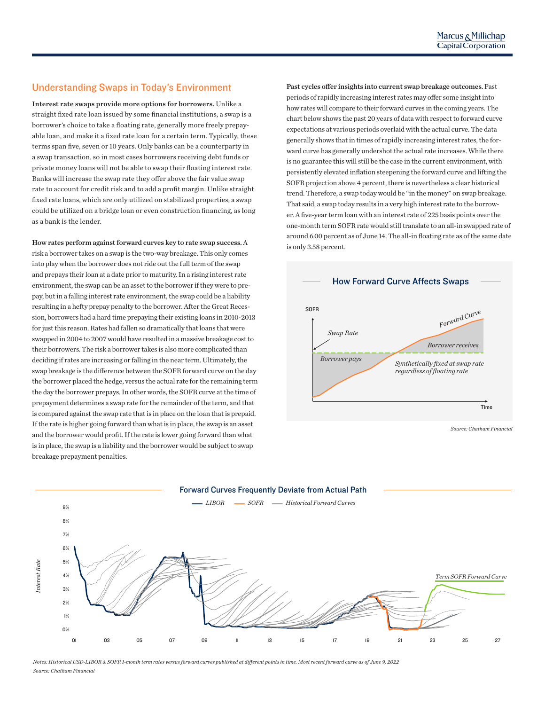## Understanding Swaps in Today's Environment

*Interest Rate*

4%

Interest rate swaps provide more options for borrowers. Unlike a straight fixed rate loan issued by some financial institutions, a swap is a borrower's choice to take a floating rate, generally more freely prepayable loan, and make it a fixed rate loan for a certain term. Typically, these terms span five, seven or 10 years. Only banks can be a counterparty in a swap transaction, so in most cases borrowers receiving debt funds or private money loans will not be able to swap their floating interest rate. Banks will increase the swap rate they offer above the fair value swap rate to account for credit risk and to add a profit margin. Unlike straight fixed rate loans, which are only utilized on stabilized properties, a swap could be utilized on a bridge loan or even construction financing, as long as a bank is the lender.

How rates perform against forward curves key to rate swap success. A risk a borrower takes on a swap is the two-way breakage. This only comes into play when the borrower does not ride out the full term of the swap and prepays their loan at a date prior to maturity. In a rising interest rate environment, the swap can be an asset to the borrower if they were to prepay, but in a falling interest rate environment, the swap could be a liability resulting in a hefty prepay penalty to the borrower. After the Great Recession, borrowers had a hard time prepaying their existing loans in 2010-2013 for just this reason. Rates had fallen so dramatically that loans that were swapped in 2004 to 2007 would have resulted in a massive breakage cost to their borrowers. The risk a borrower takes is also more complicated than deciding if rates are increasing or falling in the near term. Ultimately, the swap breakage is the difference between the SOFR forward curve on the day the borrower placed the hedge, versus the actual rate for the remaining term the day the borrower prepays. In other words, the SOFR curve at the time of prepayment determines a swap rate for the remainder of the term, and that is compared against the swap rate that is in place on the loan that is prepaid. If the rate is higher going forward than what is in place, the swap is an asset and the borrower would profit. If the rate is lower going forward than what is in place, the swap is a liability and the borrower would be subject to swap breakage prepayment penalties.

Past cycles offer insights into current swap breakage outcomes. Past periods of rapidly increasing interest rates may offer some insight into how rates will compare to their forward curves in the coming years. The chart below shows the past 20 years of data with respect to forward curve if y more freely prepay-ally more reely prepaygenerally shows that in times of rapidly increasing interest rates, the forward curve has generally undershot the actual rate increases. While there is no guarantee this will still be the case in the current environment, with persistently elevated inflation steepening the forward curve and lifting the SOFR projection above 4 percent, there is nevertheless a clear historical trend. Therefore, a swap today would be "in the money" on swap breakage. That said, a swap today results in a very high interest rate to the borrower. A five-year term loan with an interest rate of 225 basis points over the one-month term SOFR rate would still translate to an all-in swapped rate of around 6.00 percent as of June 14. The all-in floating rate as of the same date is only 3.58 percent.



*Source: Chatham Financial*



*Notes: Historical USD-LIBOR & SOFR 1-month term rates versus forward curves published at different points in time. Most recent forward curve as of June 9, 2022 Source: Chatham Financial*